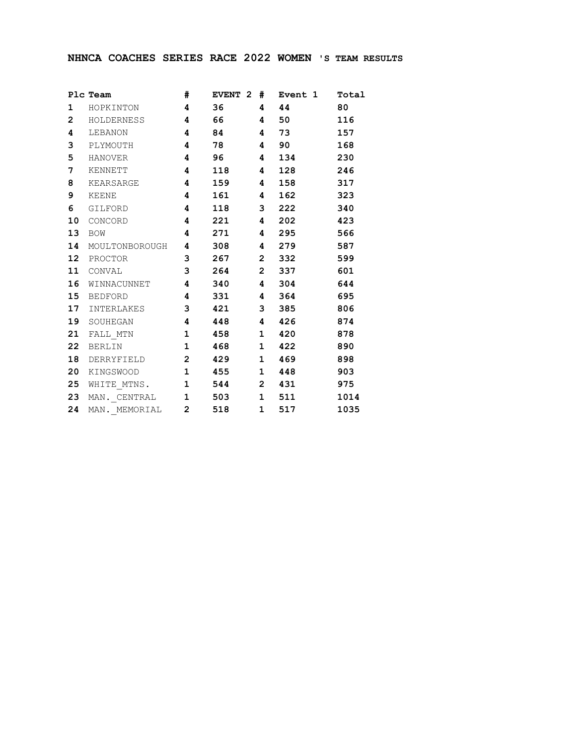## **NHNCA COACHES SERIES RACE 2022 WOMEN 'S TEAM RESULTS**

|                | Plc Team #                           |         | EVENT 2 # Event 1 Total |      |
|----------------|--------------------------------------|---------|-------------------------|------|
| $\mathbf{1}$   | HOPKINTON 4                          | 36 4 44 |                         | 80   |
|                | 2 HOLDERNESS 4                       |         | 66 4 50 116             |      |
|                | 4 LEBANON 4                          |         | 84 4 73 157             |      |
|                | 3 PLYMOUTH 4                         |         | 78 4 90                 | 168  |
|                | 5 HANOVER 4                          | 96 4    | 134                     | 230  |
| 7 <sup>7</sup> | KENNETT 4                            |         | 118 4 128               | 246  |
|                | 8 KEARSARGE 4                        | 159 4   | 158 — 158               | 317  |
| 9              | KEENE 4                              |         | 161 4 162               | 323  |
|                | 6 GILFORD 4                          |         | 118 3 222               | 340  |
| 10             | CONCORD 4                            |         | 221 4 202 423           |      |
|                | 13 BOW <b>4 271 4 295 566</b>        |         |                         |      |
|                | 14 MOULTONBOROUGH  4   308   4   279 |         |                         | 587  |
|                | 12 PROCTOR 3 267 2 332               |         |                         | 599  |
|                | 11 CONVAL                            |         | 3  264  2  337  601     |      |
|                | 16 WINNACUNNET 4 340 4 304 644       |         |                         |      |
|                | 15 BEDFORD 4 331 4 364 695           |         |                         |      |
|                | 17 INTERLAKES 3                      |         | 421 3 385 806           |      |
|                | 19 SOUHEGAN 4 448 4 426 874          |         |                         |      |
|                | 21 FALL MTN 1 458 1 420 878          |         |                         |      |
|                | 22 BERLIN 1 468 1 422                |         |                         | 890  |
|                | 18 DERRYFIELD 2 429 1 469            |         |                         | 898  |
|                | 20 KINGSWOOD 1 455 1 448             |         |                         | 903  |
|                | 25 WHITE_MTNS. 1 544 2 431 975       |         |                         |      |
|                | 23 MAN. CENTRAL 1 503 1 511          |         |                         | 1014 |
| 24             | MAN. MEMORIAL 2 518 1                |         | 517 — 17                | 1035 |